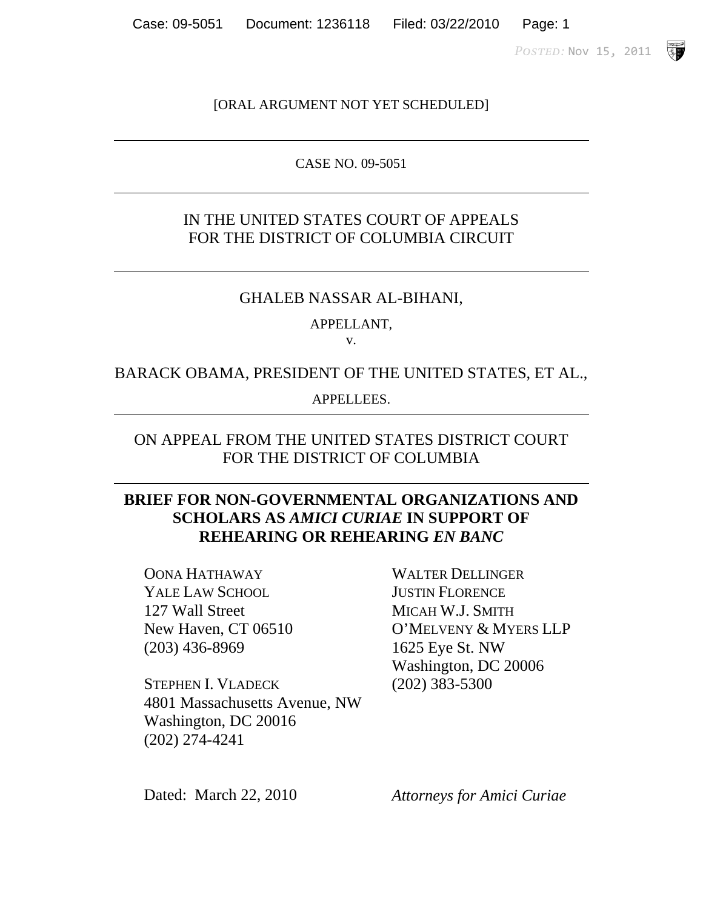POSTED: Nov 15, 2011

**SP** 

#### [ORAL ARGUMENT NOT YET SCHEDULED]

#### CASE NO. 09-5051

## IN THE UNITED STATES COURT OF APPEALS FOR THE DISTRICT OF COLUMBIA CIRCUIT

#### GHALEB NASSAR AL-BIHANI,

#### APPELLANT,

v.

#### BARACK OBAMA, PRESIDENT OF THE UNITED STATES, ET AL.,

APPELLEES.

#### ON APPEAL FROM THE UNITED STATES DISTRICT COURT FOR THE DISTRICT OF COLUMBIA

## **BRIEF FOR NON-GOVERNMENTAL ORGANIZATIONS AND SCHOLARS AS** *AMICI CURIAE* **IN SUPPORT OF REHEARING OR REHEARING** *EN BANC*

OONA HATHAWAY YALE LAW SCHOOL 127 Wall Street New Haven, CT 06510 (203) 436-8969

STEPHEN I. VLADECK 4801 Massachusetts Avenue, NW Washington, DC 20016 (202) 274-4241

WALTER DELLINGER JUSTIN FLORENCE MICAH W.J. SMITH O'MELVENY & MYERS LLP 1625 Eye St. NW Washington, DC 20006 (202) 383-5300

Dated: March 22, 2010 *Attorneys for Amici Curiae*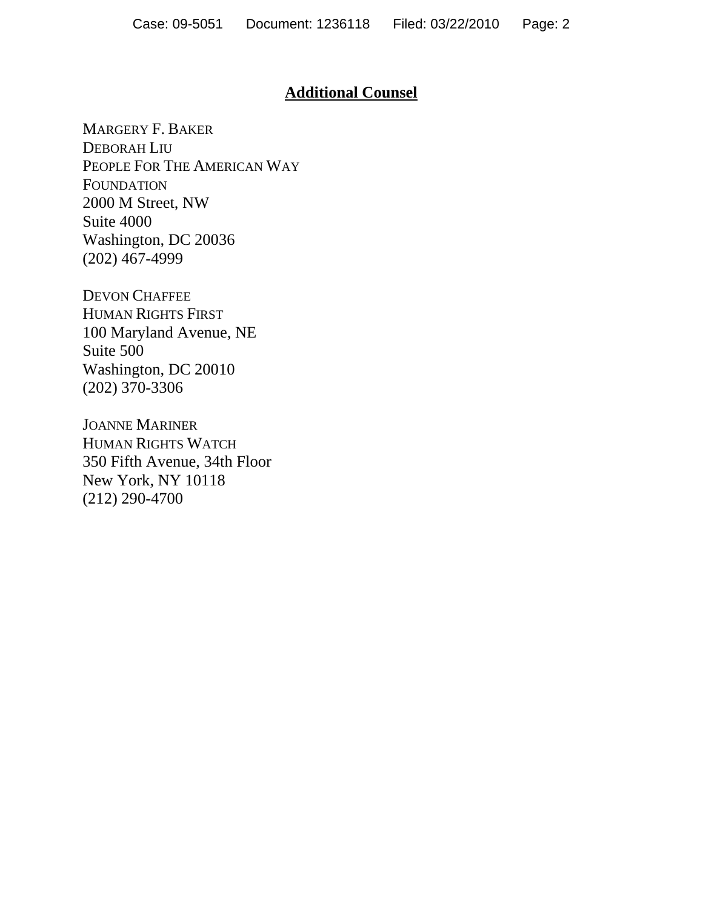## **Additional Counsel**

MARGERY F. BAKER DEBORAH LIU PEOPLE FOR THE AMERICAN WAY FOUNDATION 2000 M Street, NW Suite 4000 Washington, DC 20036 (202) 467-4999

DEVON CHAFFEE HUMAN RIGHTS FIRST 100 Maryland Avenue, NE Suite 500 Washington, DC 20010 (202) 370-3306

JOANNE MARINER HUMAN RIGHTS WATCH 350 Fifth Avenue, 34th Floor New York, NY 10118 (212) 290-4700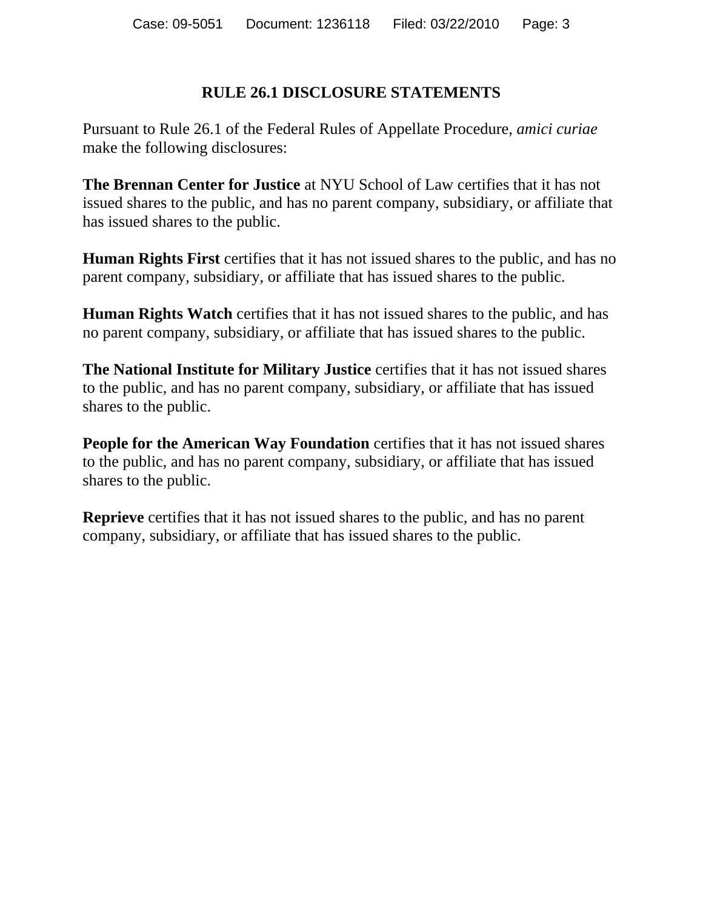## **RULE 26.1 DISCLOSURE STATEMENTS**

Pursuant to Rule 26.1 of the Federal Rules of Appellate Procedure, *amici curiae*  make the following disclosures:

**The Brennan Center for Justice** at NYU School of Law certifies that it has not issued shares to the public, and has no parent company, subsidiary, or affiliate that has issued shares to the public.

**Human Rights First** certifies that it has not issued shares to the public, and has no parent company, subsidiary, or affiliate that has issued shares to the public.

**Human Rights Watch** certifies that it has not issued shares to the public, and has no parent company, subsidiary, or affiliate that has issued shares to the public.

**The National Institute for Military Justice** certifies that it has not issued shares to the public, and has no parent company, subsidiary, or affiliate that has issued shares to the public.

**People for the American Way Foundation** certifies that it has not issued shares to the public, and has no parent company, subsidiary, or affiliate that has issued shares to the public.

**Reprieve** certifies that it has not issued shares to the public, and has no parent company, subsidiary, or affiliate that has issued shares to the public.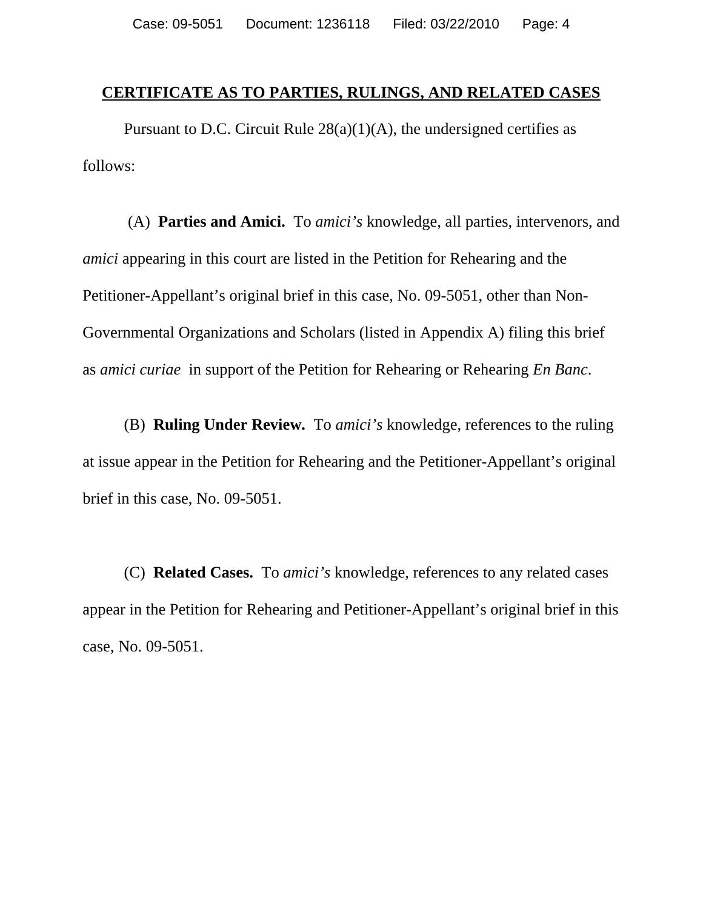#### **CERTIFICATE AS TO PARTIES, RULINGS, AND RELATED CASES**

Pursuant to D.C. Circuit Rule  $28(a)(1)(A)$ , the undersigned certifies as follows:

 (A) **Parties and Amici.** To *amici's* knowledge, all parties, intervenors, and *amici* appearing in this court are listed in the Petition for Rehearing and the Petitioner-Appellant's original brief in this case, No. 09-5051, other than Non-Governmental Organizations and Scholars (listed in Appendix A) filing this brief as *amici curiae* in support of the Petition for Rehearing or Rehearing *En Banc*.

(B) **Ruling Under Review.** To *amici's* knowledge, references to the ruling at issue appear in the Petition for Rehearing and the Petitioner-Appellant's original brief in this case, No. 09-5051.

(C) **Related Cases.** To *amici's* knowledge, references to any related cases appear in the Petition for Rehearing and Petitioner-Appellant's original brief in this case, No. 09-5051.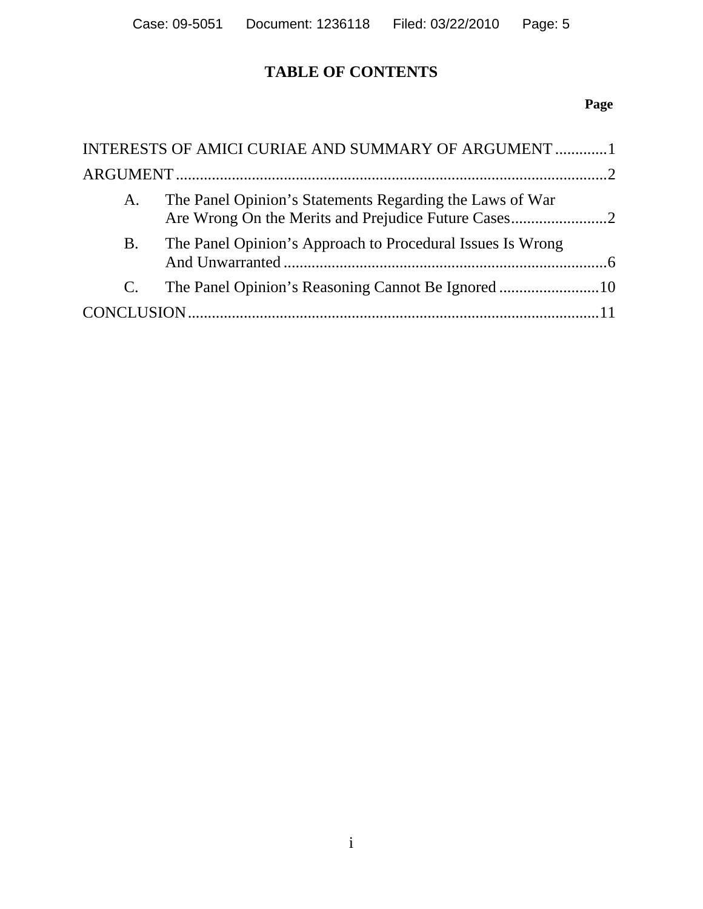# **TABLE OF CONTENTS**

# **Page**

|             | INTERESTS OF AMICI CURIAE AND SUMMARY OF ARGUMENT 1        |  |  |
|-------------|------------------------------------------------------------|--|--|
|             |                                                            |  |  |
| А.          | The Panel Opinion's Statements Regarding the Laws of War   |  |  |
| <b>B.</b>   | The Panel Opinion's Approach to Procedural Issues Is Wrong |  |  |
| $C_{\cdot}$ |                                                            |  |  |
|             |                                                            |  |  |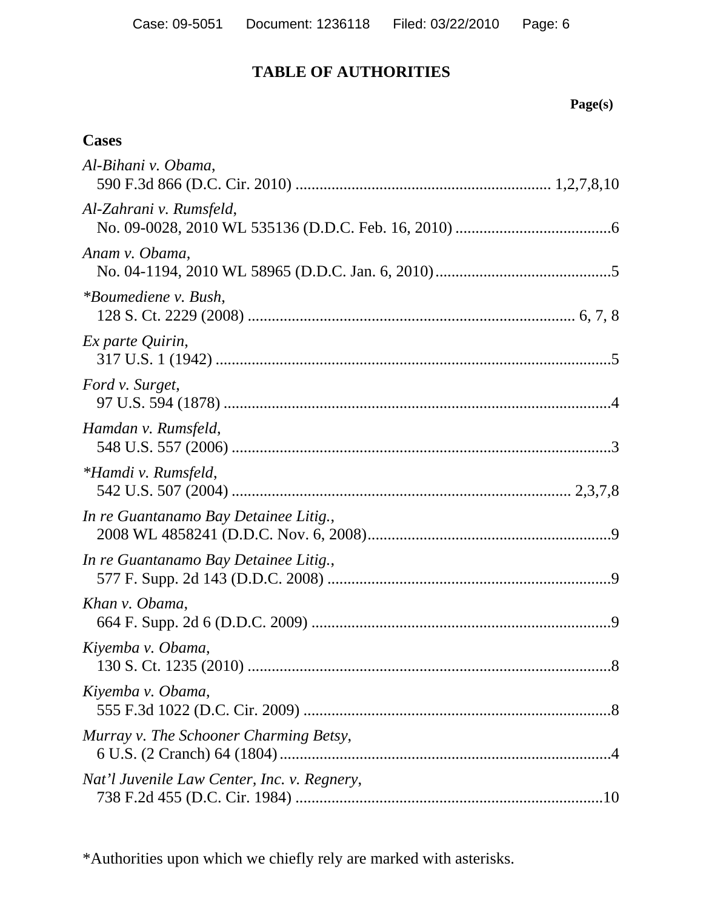# **TABLE OF AUTHORITIES**

# **Cases**

| Al-Bihani v. Obama,                         |
|---------------------------------------------|
| Al-Zahrani v. Rumsfeld,                     |
| Anam v. Obama,                              |
| *Boumediene v. Bush,                        |
| Ex parte Quirin,                            |
| Ford v. Surget,                             |
| Hamdan v. Rumsfeld,                         |
| *Hamdi v. Rumsfeld,                         |
| In re Guantanamo Bay Detainee Litig.,       |
| In re Guantanamo Bay Detainee Litig.,       |
| Khan v. Obama,                              |
| Kiyemba v. Obama,                           |
| Kiyemba v. Obama,                           |
| Murray v. The Schooner Charming Betsy,      |
| Nat'l Juvenile Law Center, Inc. v. Regnery, |

\*Authorities upon which we chiefly rely are marked with asterisks.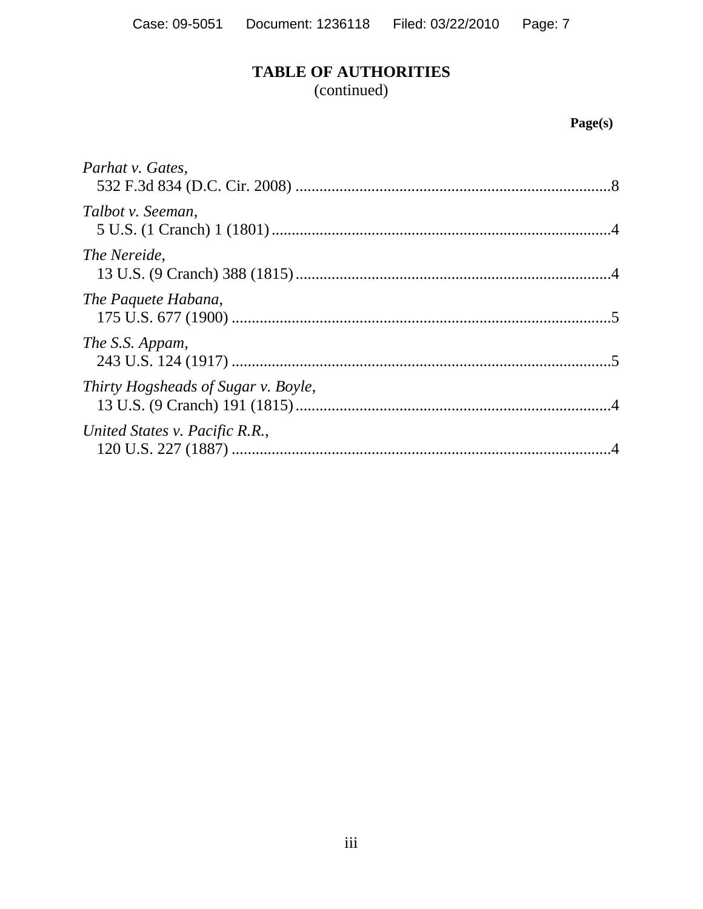# **TABLE OF AUTHORITIES**

(continued)

# **Page(s)**

| Parhat v. Gates,                    |  |
|-------------------------------------|--|
| Talbot v. Seeman,                   |  |
| The Nereide,                        |  |
| The Paquete Habana,                 |  |
| The S.S. Appam,                     |  |
| Thirty Hogsheads of Sugar v. Boyle, |  |
| United States v. Pacific R.R.,      |  |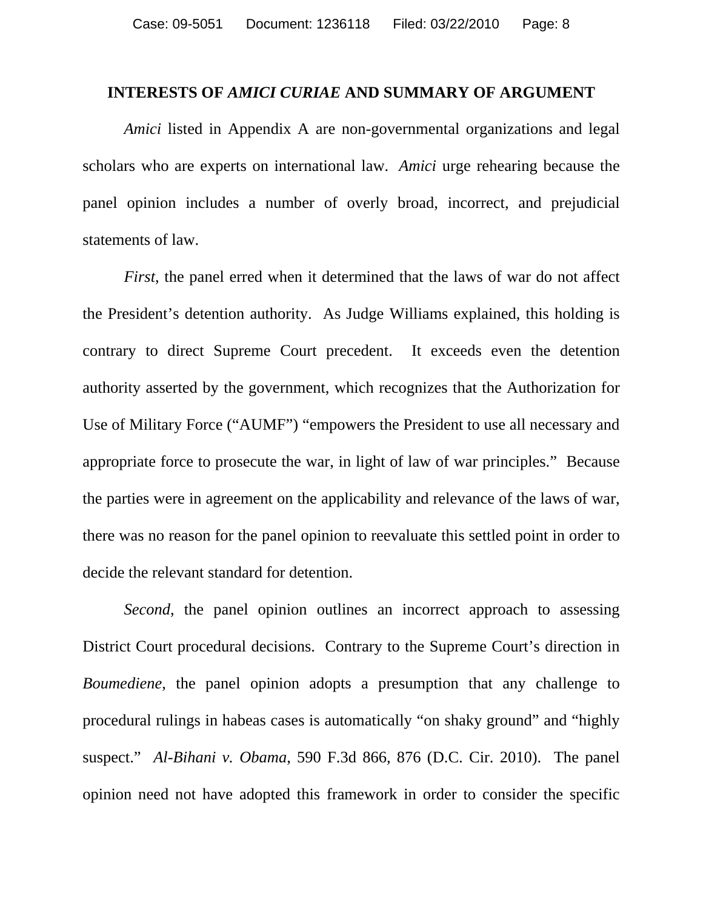#### **INTERESTS OF** *AMICI CURIAE* **AND SUMMARY OF ARGUMENT**

*Amici* listed in Appendix A are non-governmental organizations and legal scholars who are experts on international law. *Amici* urge rehearing because the panel opinion includes a number of overly broad, incorrect, and prejudicial statements of law.

*First*, the panel erred when it determined that the laws of war do not affect the President's detention authority. As Judge Williams explained, this holding is contrary to direct Supreme Court precedent. It exceeds even the detention authority asserted by the government, which recognizes that the Authorization for Use of Military Force ("AUMF") "empowers the President to use all necessary and appropriate force to prosecute the war, in light of law of war principles." Because the parties were in agreement on the applicability and relevance of the laws of war, there was no reason for the panel opinion to reevaluate this settled point in order to decide the relevant standard for detention.

*Second*, the panel opinion outlines an incorrect approach to assessing District Court procedural decisions. Contrary to the Supreme Court's direction in *Boumediene*, the panel opinion adopts a presumption that any challenge to procedural rulings in habeas cases is automatically "on shaky ground" and "highly suspect." *Al-Bihani v. Obama*, 590 F.3d 866, 876 (D.C. Cir. 2010). The panel opinion need not have adopted this framework in order to consider the specific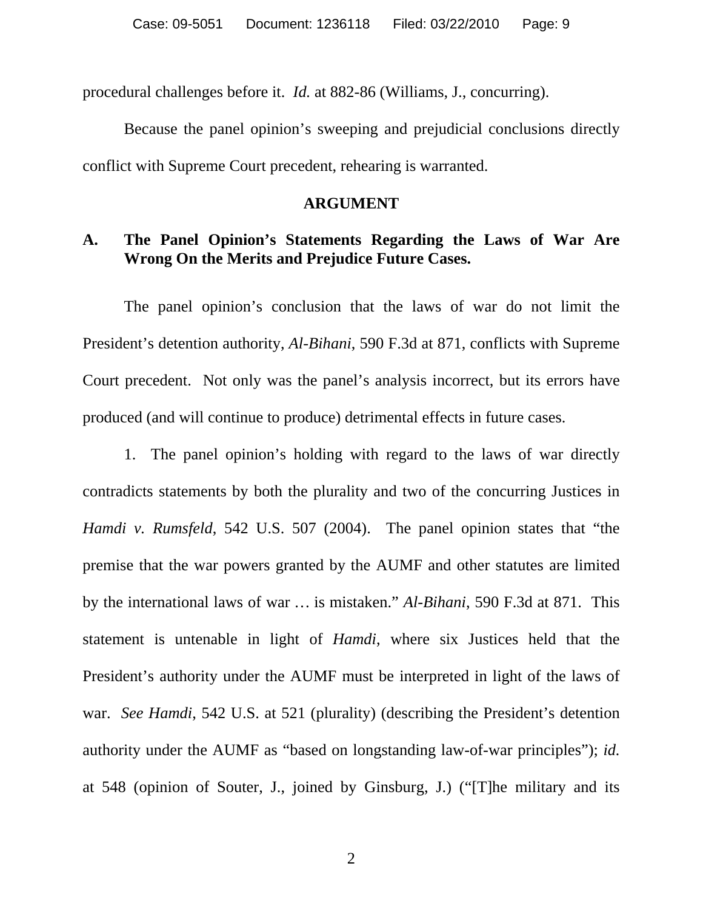procedural challenges before it. *Id.* at 882-86 (Williams, J., concurring).

Because the panel opinion's sweeping and prejudicial conclusions directly conflict with Supreme Court precedent, rehearing is warranted.

#### **ARGUMENT**

## **A. The Panel Opinion's Statements Regarding the Laws of War Are Wrong On the Merits and Prejudice Future Cases.**

The panel opinion's conclusion that the laws of war do not limit the President's detention authority, *Al-Bihani*, 590 F.3d at 871, conflicts with Supreme Court precedent. Not only was the panel's analysis incorrect, but its errors have produced (and will continue to produce) detrimental effects in future cases.

1. The panel opinion's holding with regard to the laws of war directly contradicts statements by both the plurality and two of the concurring Justices in *Hamdi v. Rumsfeld*, 542 U.S. 507 (2004). The panel opinion states that "the premise that the war powers granted by the AUMF and other statutes are limited by the international laws of war … is mistaken." *Al-Bihani*, 590 F.3d at 871. This statement is untenable in light of *Hamdi*, where six Justices held that the President's authority under the AUMF must be interpreted in light of the laws of war. *See Hamdi*, 542 U.S. at 521 (plurality) (describing the President's detention authority under the AUMF as "based on longstanding law-of-war principles"); *id.*  at 548 (opinion of Souter, J., joined by Ginsburg, J.) ("[T]he military and its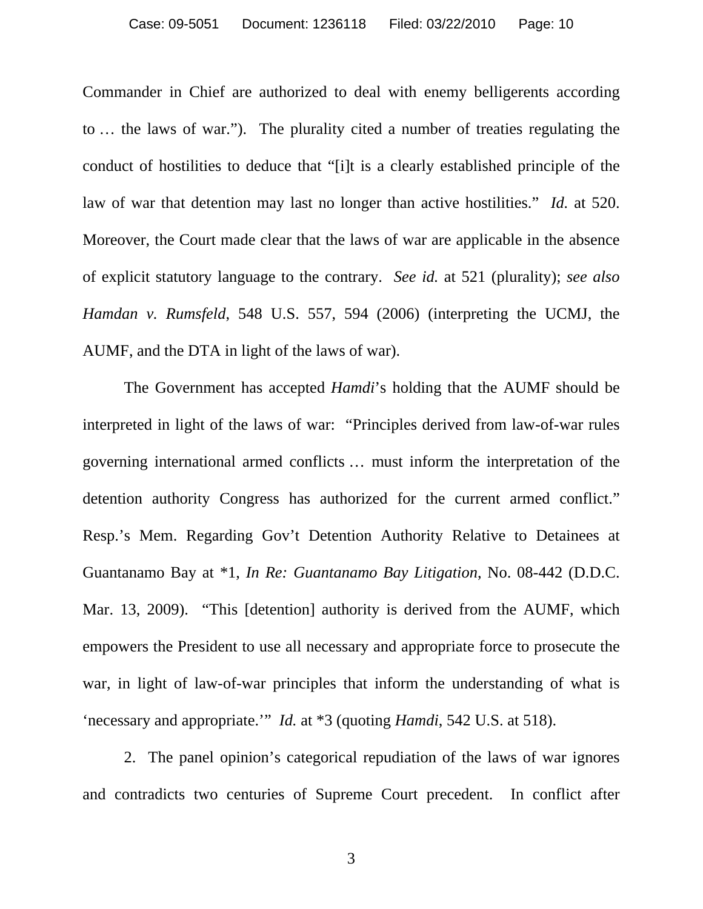Commander in Chief are authorized to deal with enemy belligerents according to … the laws of war."). The plurality cited a number of treaties regulating the conduct of hostilities to deduce that "[i]t is a clearly established principle of the law of war that detention may last no longer than active hostilities." *Id.* at 520. Moreover, the Court made clear that the laws of war are applicable in the absence of explicit statutory language to the contrary. *See id.* at 521 (plurality); *see also Hamdan v. Rumsfeld*, 548 U.S. 557, 594 (2006) (interpreting the UCMJ, the AUMF, and the DTA in light of the laws of war).

The Government has accepted *Hamdi*'s holding that the AUMF should be interpreted in light of the laws of war: "Principles derived from law-of-war rules governing international armed conflicts … must inform the interpretation of the detention authority Congress has authorized for the current armed conflict." Resp.'s Mem. Regarding Gov't Detention Authority Relative to Detainees at Guantanamo Bay at \*1, *In Re: Guantanamo Bay Litigation*, No. 08-442 (D.D.C. Mar. 13, 2009). "This [detention] authority is derived from the AUMF, which empowers the President to use all necessary and appropriate force to prosecute the war, in light of law-of-war principles that inform the understanding of what is 'necessary and appropriate.'" *Id.* at \*3 (quoting *Hamdi*, 542 U.S. at 518).

2. The panel opinion's categorical repudiation of the laws of war ignores and contradicts two centuries of Supreme Court precedent. In conflict after

3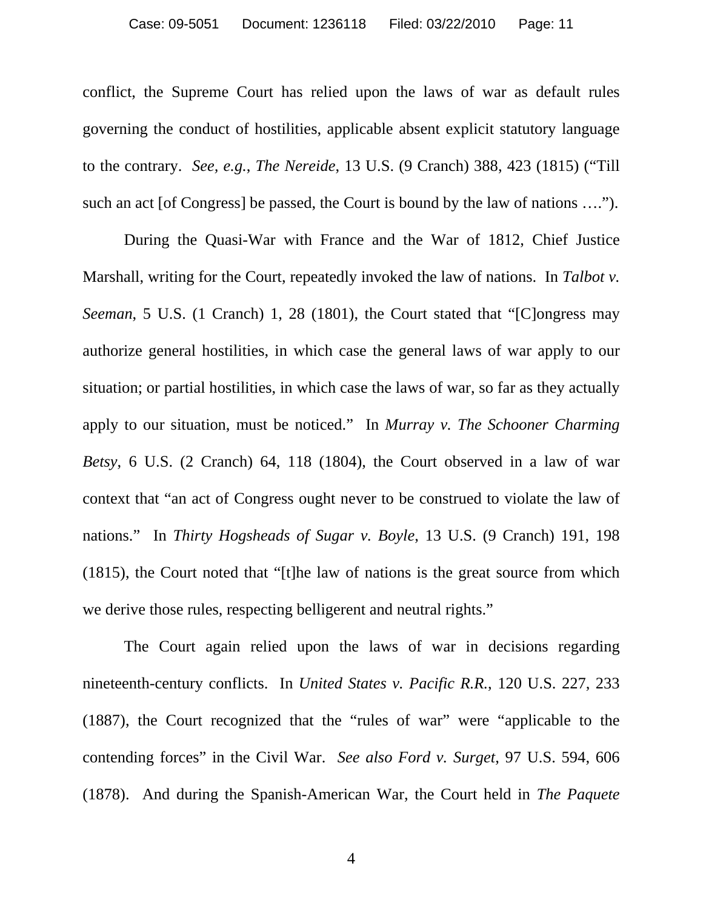conflict, the Supreme Court has relied upon the laws of war as default rules governing the conduct of hostilities, applicable absent explicit statutory language to the contrary. *See, e.g.*, *The Nereide*, 13 U.S. (9 Cranch) 388, 423 (1815) ("Till such an act [of Congress] be passed, the Court is bound by the law of nations ….").

During the Quasi-War with France and the War of 1812, Chief Justice Marshall, writing for the Court, repeatedly invoked the law of nations. In *Talbot v. Seeman*, 5 U.S. (1 Cranch) 1, 28 (1801), the Court stated that "[C]ongress may authorize general hostilities, in which case the general laws of war apply to our situation; or partial hostilities, in which case the laws of war, so far as they actually apply to our situation, must be noticed." In *Murray v. The Schooner Charming Betsy*, 6 U.S. (2 Cranch) 64, 118 (1804), the Court observed in a law of war context that "an act of Congress ought never to be construed to violate the law of nations." In *Thirty Hogsheads of Sugar v. Boyle*, 13 U.S. (9 Cranch) 191, 198 (1815), the Court noted that "[t]he law of nations is the great source from which we derive those rules, respecting belligerent and neutral rights."

The Court again relied upon the laws of war in decisions regarding nineteenth-century conflicts. In *United States v. Pacific R.R.*, 120 U.S. 227, 233 (1887), the Court recognized that the "rules of war" were "applicable to the contending forces" in the Civil War. *See also Ford v. Surget*, 97 U.S. 594, 606 (1878). And during the Spanish-American War, the Court held in *The Paquete* 

4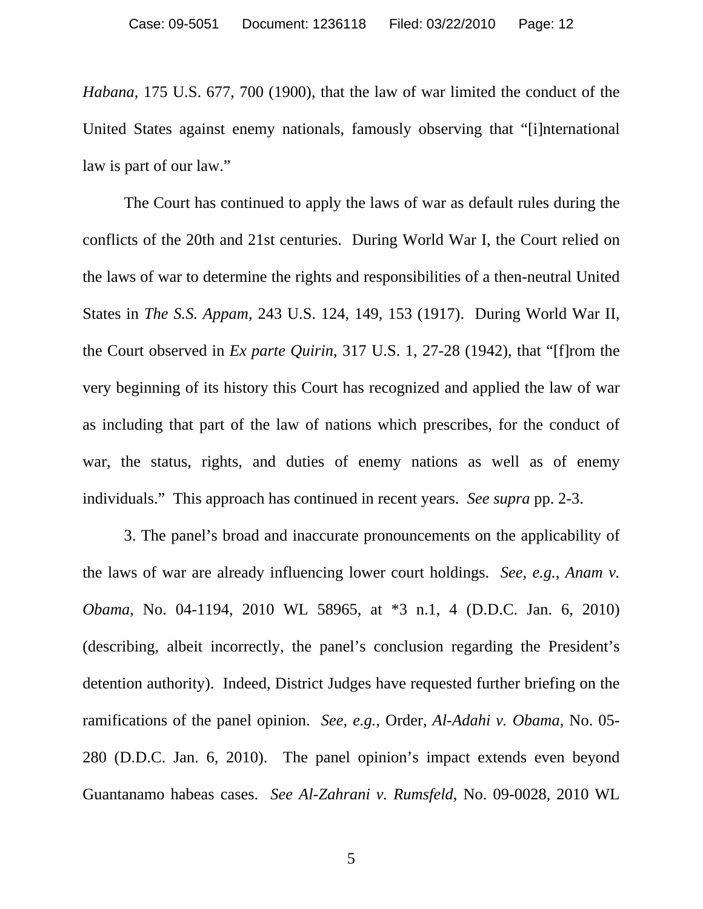*Habana*, 175 U.S. 677, 700 (1900), that the law of war limited the conduct of the United States against enemy nationals, famously observing that "[i]nternational law is part of our law."

The Court has continued to apply the laws of war as default rules during the conflicts of the 20th and 21st centuries. During World War I, the Court relied on the laws of war to determine the rights and responsibilities of a then-neutral United States in *The S.S. Appam*, 243 U.S. 124, 149, 153 (1917). During World War II, the Court observed in *Ex parte Quirin*, 317 U.S. 1, 27-28 (1942), that "[f]rom the very beginning of its history this Court has recognized and applied the law of war as including that part of the law of nations which prescribes, for the conduct of war, the status, rights, and duties of enemy nations as well as of enemy individuals." This approach has continued in recent years. *See supra* pp. 2-3.

3. The panel's broad and inaccurate pronouncements on the applicability of the laws of war are already influencing lower court holdings. *See, e.g.*, *Anam v. Obama*, No. 04-1194, 2010 WL 58965, at \*3 n.1, 4 (D.D.C. Jan. 6, 2010) (describing, albeit incorrectly, the panel's conclusion regarding the President's detention authority). Indeed, District Judges have requested further briefing on the ramifications of the panel opinion. *See, e.g.*, Order, *Al-Adahi v. Obama*, No. 05- 280 (D.D.C. Jan. 6, 2010). The panel opinion's impact extends even beyond Guantanamo habeas cases. *See Al-Zahrani v. Rumsfeld*, No. 09-0028, 2010 WL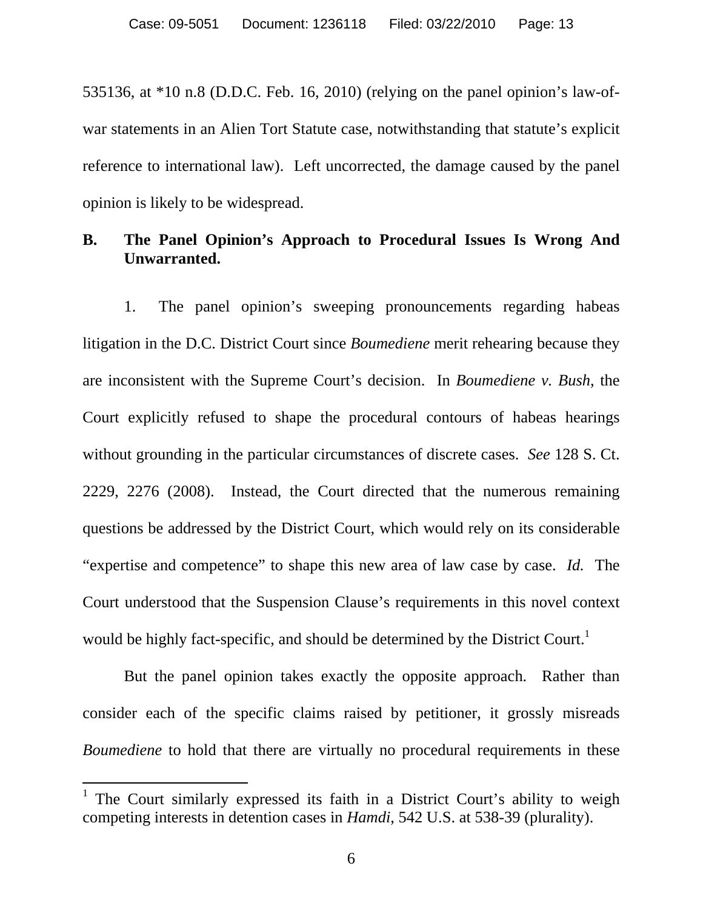535136, at \*10 n.8 (D.D.C. Feb. 16, 2010) (relying on the panel opinion's law-ofwar statements in an Alien Tort Statute case, notwithstanding that statute's explicit reference to international law). Left uncorrected, the damage caused by the panel opinion is likely to be widespread.

## **B. The Panel Opinion's Approach to Procedural Issues Is Wrong And Unwarranted.**

1. The panel opinion's sweeping pronouncements regarding habeas litigation in the D.C. District Court since *Boumediene* merit rehearing because they are inconsistent with the Supreme Court's decision. In *Boumediene v. Bush*, the Court explicitly refused to shape the procedural contours of habeas hearings without grounding in the particular circumstances of discrete cases. *See* 128 S. Ct. 2229, 2276 (2008). Instead, the Court directed that the numerous remaining questions be addressed by the District Court, which would rely on its considerable "expertise and competence" to shape this new area of law case by case. *Id.* The Court understood that the Suspension Clause's requirements in this novel context would be highly fact-specific, and should be determined by the District Court.<sup>1</sup>

But the panel opinion takes exactly the opposite approach. Rather than consider each of the specific claims raised by petitioner, it grossly misreads *Boumediene* to hold that there are virtually no procedural requirements in these

 $\overline{a}$ 

<sup>&</sup>lt;sup>1</sup> The Court similarly expressed its faith in a District Court's ability to weigh competing interests in detention cases in *Hamdi*, 542 U.S. at 538-39 (plurality).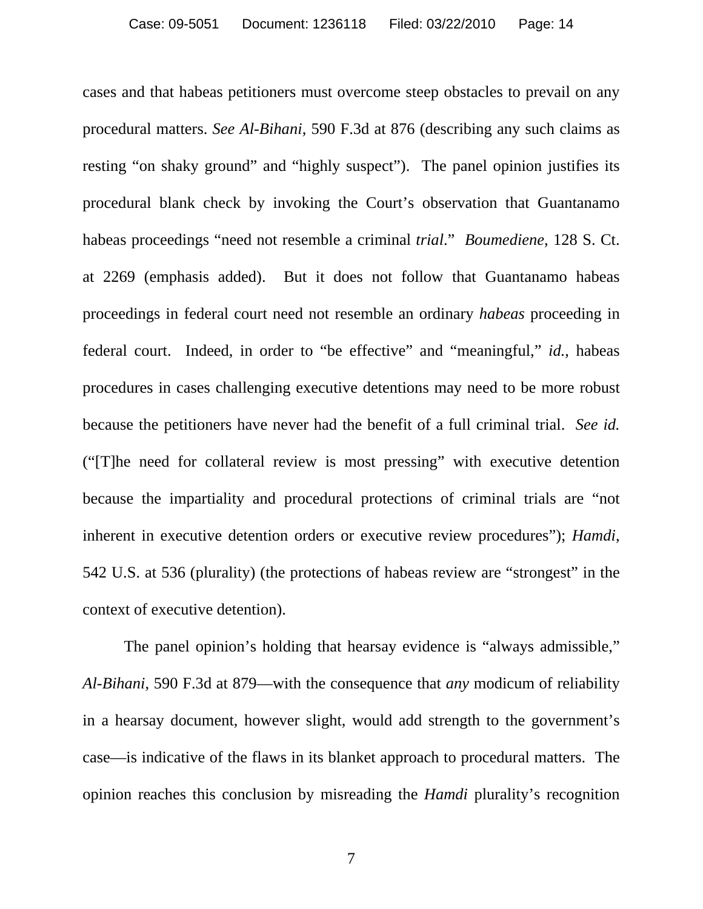cases and that habeas petitioners must overcome steep obstacles to prevail on any procedural matters. *See Al-Bihani*, 590 F.3d at 876 (describing any such claims as resting "on shaky ground" and "highly suspect"). The panel opinion justifies its procedural blank check by invoking the Court's observation that Guantanamo habeas proceedings "need not resemble a criminal *trial*." *Boumediene*, 128 S. Ct. at 2269 (emphasis added). But it does not follow that Guantanamo habeas proceedings in federal court need not resemble an ordinary *habeas* proceeding in federal court. Indeed, in order to "be effective" and "meaningful," *id.*, habeas procedures in cases challenging executive detentions may need to be more robust because the petitioners have never had the benefit of a full criminal trial. *See id.* ("[T]he need for collateral review is most pressing" with executive detention because the impartiality and procedural protections of criminal trials are "not inherent in executive detention orders or executive review procedures"); *Hamdi*, 542 U.S. at 536 (plurality) (the protections of habeas review are "strongest" in the context of executive detention).

The panel opinion's holding that hearsay evidence is "always admissible," *Al-Bihani*, 590 F.3d at 879—with the consequence that *any* modicum of reliability in a hearsay document, however slight, would add strength to the government's case—is indicative of the flaws in its blanket approach to procedural matters. The opinion reaches this conclusion by misreading the *Hamdi* plurality's recognition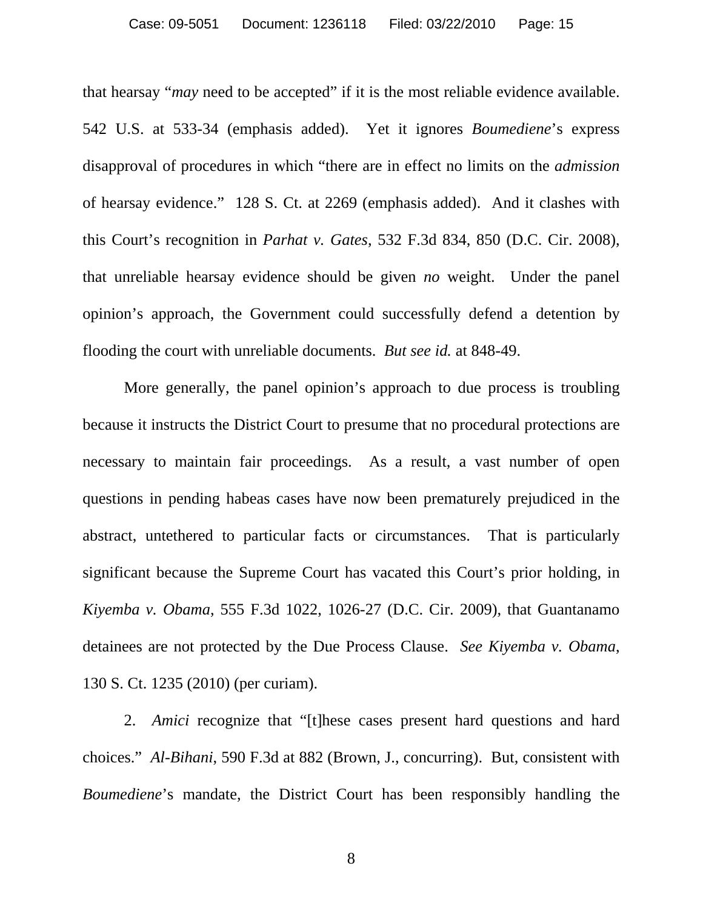that hearsay "*may* need to be accepted" if it is the most reliable evidence available. 542 U.S. at 533-34 (emphasis added). Yet it ignores *Boumediene*'s express disapproval of procedures in which "there are in effect no limits on the *admission* of hearsay evidence." 128 S. Ct. at 2269 (emphasis added). And it clashes with this Court's recognition in *Parhat v. Gates*, 532 F.3d 834, 850 (D.C. Cir. 2008), that unreliable hearsay evidence should be given *no* weight. Under the panel opinion's approach, the Government could successfully defend a detention by flooding the court with unreliable documents. *But see id.* at 848-49.

More generally, the panel opinion's approach to due process is troubling because it instructs the District Court to presume that no procedural protections are necessary to maintain fair proceedings. As a result, a vast number of open questions in pending habeas cases have now been prematurely prejudiced in the abstract, untethered to particular facts or circumstances. That is particularly significant because the Supreme Court has vacated this Court's prior holding, in *Kiyemba v. Obama*, 555 F.3d 1022, 1026-27 (D.C. Cir. 2009), that Guantanamo detainees are not protected by the Due Process Clause. *See Kiyemba v. Obama*, 130 S. Ct. 1235 (2010) (per curiam).

2. *Amici* recognize that "[t]hese cases present hard questions and hard choices." *Al-Bihani*, 590 F.3d at 882 (Brown, J., concurring). But, consistent with *Boumediene*'s mandate, the District Court has been responsibly handling the

8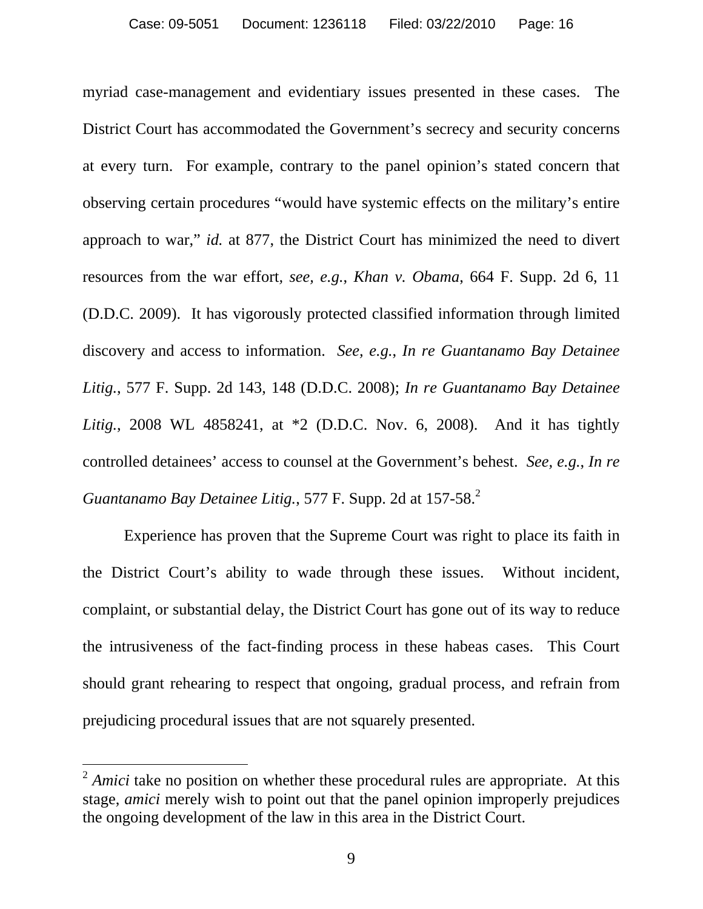myriad case-management and evidentiary issues presented in these cases. The District Court has accommodated the Government's secrecy and security concerns at every turn. For example, contrary to the panel opinion's stated concern that observing certain procedures "would have systemic effects on the military's entire approach to war," *id.* at 877, the District Court has minimized the need to divert resources from the war effort*, see, e.g.*, *Khan v. Obama*, 664 F. Supp. 2d 6, 11 (D.D.C. 2009). It has vigorously protected classified information through limited discovery and access to information. *See, e.g.*, *In re Guantanamo Bay Detainee Litig.*, 577 F. Supp. 2d 143, 148 (D.D.C. 2008); *In re Guantanamo Bay Detainee Litig.*, 2008 WL 4858241, at \*2 (D.D.C. Nov. 6, 2008). And it has tightly controlled detainees' access to counsel at the Government's behest. *See, e.g.*, *In re Guantanamo Bay Detainee Litig.*, 577 F. Supp. 2d at 157-58.<sup>2</sup>

Experience has proven that the Supreme Court was right to place its faith in the District Court's ability to wade through these issues. Without incident, complaint, or substantial delay, the District Court has gone out of its way to reduce the intrusiveness of the fact-finding process in these habeas cases. This Court should grant rehearing to respect that ongoing, gradual process, and refrain from prejudicing procedural issues that are not squarely presented.

 $\overline{a}$ 

<sup>&</sup>lt;sup>2</sup> *Amici* take no position on whether these procedural rules are appropriate. At this stage, *amici* merely wish to point out that the panel opinion improperly prejudices the ongoing development of the law in this area in the District Court.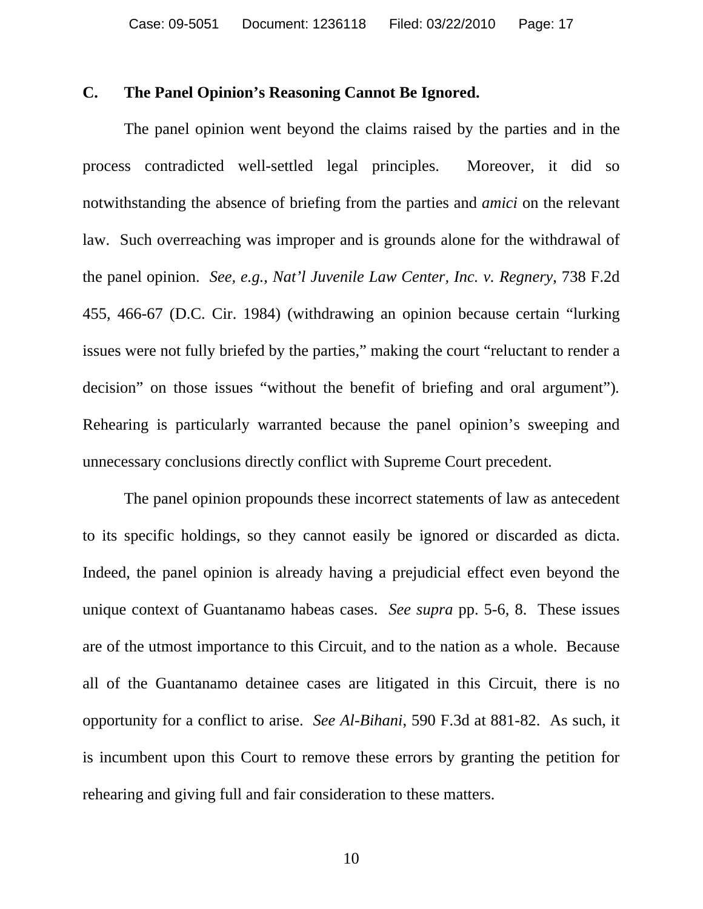#### **C. The Panel Opinion's Reasoning Cannot Be Ignored.**

The panel opinion went beyond the claims raised by the parties and in the process contradicted well-settled legal principles. Moreover, it did so notwithstanding the absence of briefing from the parties and *amici* on the relevant law. Such overreaching was improper and is grounds alone for the withdrawal of the panel opinion. *See, e.g.*, *Nat'l Juvenile Law Center, Inc. v. Regnery*, 738 F.2d 455, 466-67 (D.C. Cir. 1984) (withdrawing an opinion because certain "lurking issues were not fully briefed by the parties," making the court "reluctant to render a decision" on those issues "without the benefit of briefing and oral argument")*.*  Rehearing is particularly warranted because the panel opinion's sweeping and unnecessary conclusions directly conflict with Supreme Court precedent.

The panel opinion propounds these incorrect statements of law as antecedent to its specific holdings, so they cannot easily be ignored or discarded as dicta. Indeed, the panel opinion is already having a prejudicial effect even beyond the unique context of Guantanamo habeas cases. *See supra* pp. 5-6, 8. These issues are of the utmost importance to this Circuit, and to the nation as a whole. Because all of the Guantanamo detainee cases are litigated in this Circuit, there is no opportunity for a conflict to arise. *See Al-Bihani*, 590 F.3d at 881-82. As such, it is incumbent upon this Court to remove these errors by granting the petition for rehearing and giving full and fair consideration to these matters.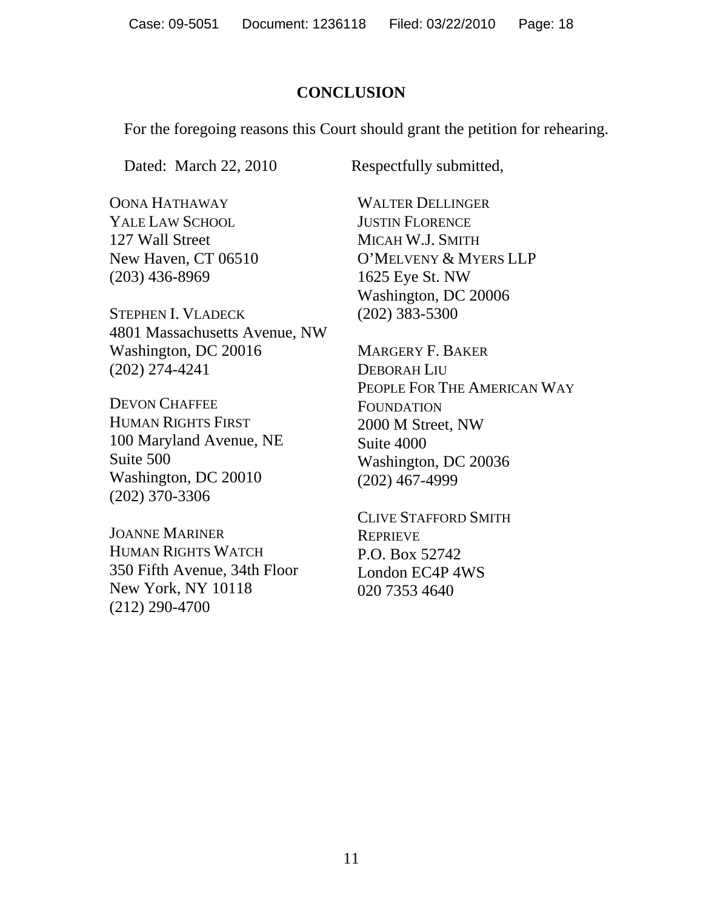## **CONCLUSION**

For the foregoing reasons this Court should grant the petition for rehearing.

Dated: March 22, 2010 Respectfully submitted,

OONA HATHAWAY YALE LAW SCHOOL 127 Wall Street New Haven, CT 06510 (203) 436-8969

STEPHEN I. VLADECK 4801 Massachusetts Avenue, NW Washington, DC 20016 (202) 274-4241

DEVON CHAFFEE HUMAN RIGHTS FIRST 100 Maryland Avenue, NE Suite 500 Washington, DC 20010 (202) 370-3306

JOANNE MARINER HUMAN RIGHTS WATCH 350 Fifth Avenue, 34th Floor New York, NY 10118 (212) 290-4700

WALTER DELLINGER JUSTIN FLORENCE MICAH W.J. SMITH O'MELVENY & MYERS LLP 1625 Eye St. NW Washington, DC 20006 (202) 383-5300

MARGERY F. BAKER DEBORAH LIU PEOPLE FOR THE AMERICAN WAY FOUNDATION 2000 M Street, NW Suite 4000 Washington, DC 20036 (202) 467-4999

CLIVE STAFFORD SMITH **REPRIEVE** P.O. Box 52742 London EC4P 4WS 020 7353 4640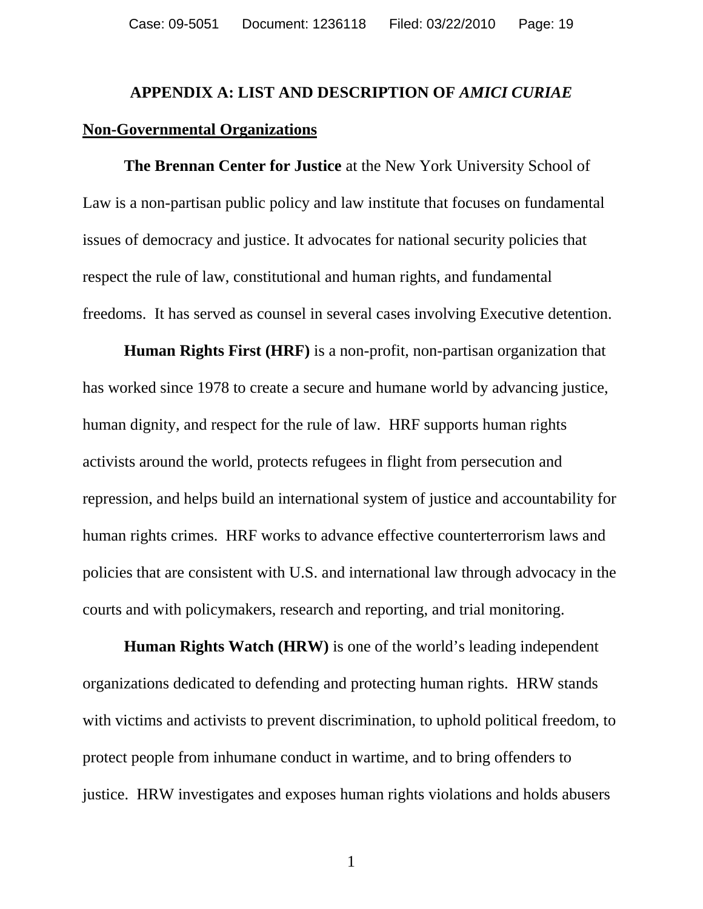# **APPENDIX A: LIST AND DESCRIPTION OF** *AMICI CURIAE* **Non-Governmental Organizations**

 **The Brennan Center for Justice** at the New York University School of Law is a non-partisan public policy and law institute that focuses on fundamental issues of democracy and justice. It advocates for national security policies that respect the rule of law, constitutional and human rights, and fundamental freedoms. It has served as counsel in several cases involving Executive detention.

 **Human Rights First (HRF)** is a non-profit, non-partisan organization that has worked since 1978 to create a secure and humane world by advancing justice, human dignity, and respect for the rule of law. HRF supports human rights activists around the world, protects refugees in flight from persecution and repression, and helps build an international system of justice and accountability for human rights crimes. HRF works to advance effective counterterrorism laws and policies that are consistent with U.S. and international law through advocacy in the courts and with policymakers, research and reporting, and trial monitoring.

 **Human Rights Watch (HRW)** is one of the world's leading independent organizations dedicated to defending and protecting human rights. HRW stands with victims and activists to prevent discrimination, to uphold political freedom, to protect people from inhumane conduct in wartime, and to bring offenders to justice. HRW investigates and exposes human rights violations and holds abusers

1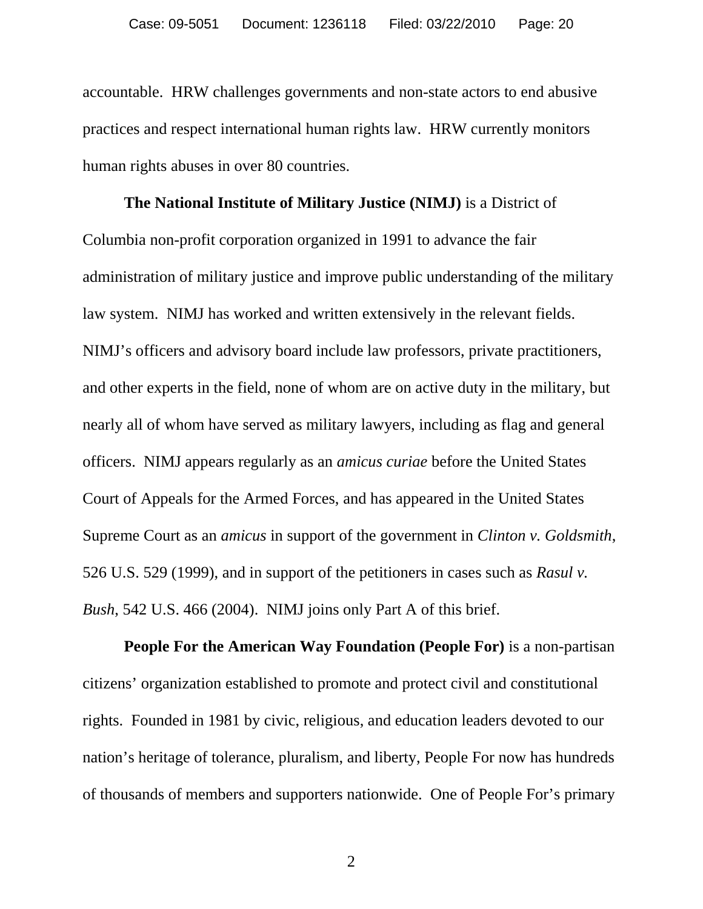accountable. HRW challenges governments and non-state actors to end abusive practices and respect international human rights law. HRW currently monitors human rights abuses in over 80 countries.

 **The National Institute of Military Justice (NIMJ)** is a District of Columbia non-profit corporation organized in 1991 to advance the fair administration of military justice and improve public understanding of the military law system. NIMJ has worked and written extensively in the relevant fields. NIMJ's officers and advisory board include law professors, private practitioners, and other experts in the field, none of whom are on active duty in the military, but nearly all of whom have served as military lawyers, including as flag and general officers. NIMJ appears regularly as an *amicus curiae* before the United States Court of Appeals for the Armed Forces, and has appeared in the United States Supreme Court as an *amicus* in support of the government in *Clinton v. Goldsmith*, 526 U.S. 529 (1999), and in support of the petitioners in cases such as *Rasul v. Bush*, 542 U.S. 466 (2004). NIMJ joins only Part A of this brief.

 **People For the American Way Foundation (People For)** is a non-partisan citizens' organization established to promote and protect civil and constitutional rights. Founded in 1981 by civic, religious, and education leaders devoted to our nation's heritage of tolerance, pluralism, and liberty, People For now has hundreds of thousands of members and supporters nationwide. One of People For's primary

2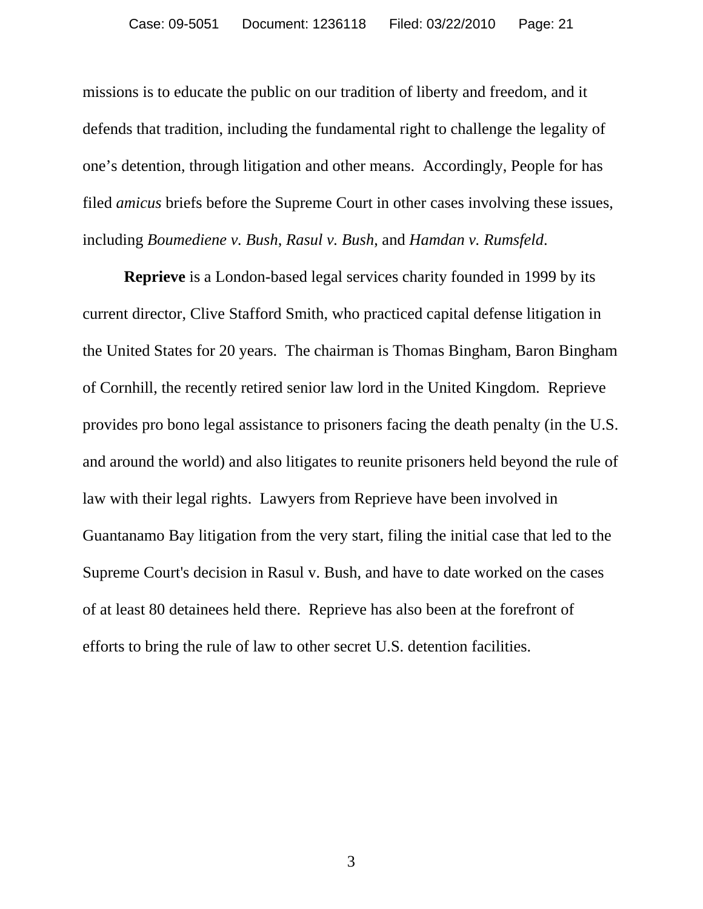missions is to educate the public on our tradition of liberty and freedom, and it defends that tradition, including the fundamental right to challenge the legality of one's detention, through litigation and other means. Accordingly, People for has filed *amicus* briefs before the Supreme Court in other cases involving these issues, including *Boumediene v. Bush*, *Rasul v. Bush*, and *Hamdan v. Rumsfeld*.

 **Reprieve** is a London-based legal services charity founded in 1999 by its current director, Clive Stafford Smith, who practiced capital defense litigation in the United States for 20 years. The chairman is Thomas Bingham, Baron Bingham of Cornhill, the recently retired senior law lord in the United Kingdom. Reprieve provides pro bono legal assistance to prisoners facing the death penalty (in the U.S. and around the world) and also litigates to reunite prisoners held beyond the rule of law with their legal rights. Lawyers from Reprieve have been involved in Guantanamo Bay litigation from the very start, filing the initial case that led to the Supreme Court's decision in Rasul v. Bush, and have to date worked on the cases of at least 80 detainees held there. Reprieve has also been at the forefront of efforts to bring the rule of law to other secret U.S. detention facilities.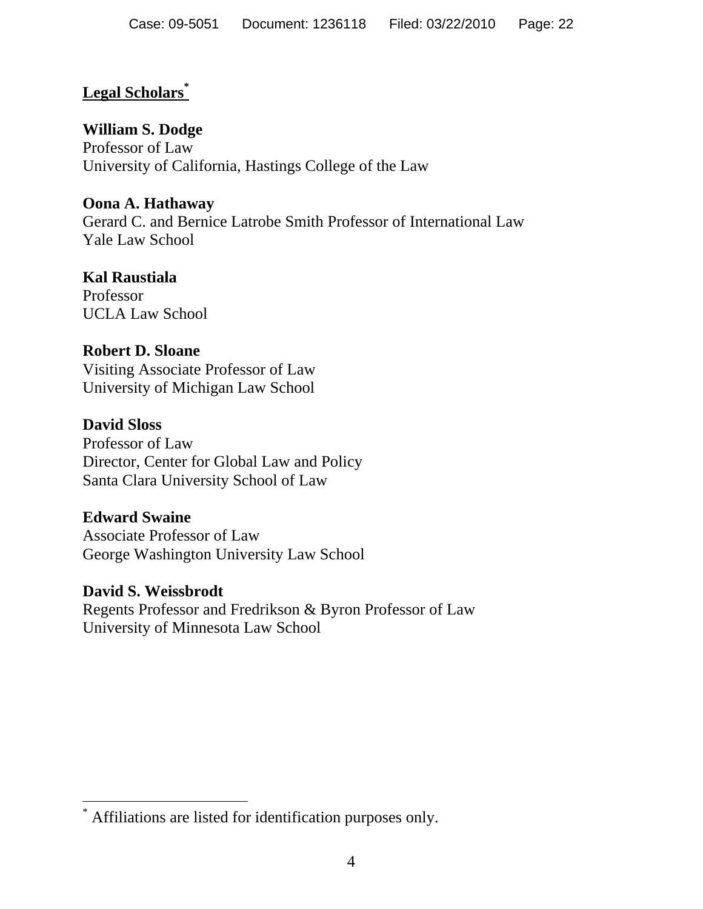# **Legal Scholars\***

# **William S. Dodge**

Professor of Law University of California, Hastings College of the Law

# **Oona A. Hathaway**

Gerard C. and Bernice Latrobe Smith Professor of International Law Yale Law School

# **Kal Raustiala**

Professor UCLA Law School

# **Robert D. Sloane**

Visiting Associate Professor of Law University of Michigan Law School

# **David Sloss**

Professor of Law Director, Center for Global Law and Policy Santa Clara University School of Law

## **Edward Swaine**

 $\overline{a}$ 

Associate Professor of Law George Washington University Law School

## **David S. Weissbrodt**

Regents Professor and Fredrikson & Byron Professor of Law University of Minnesota Law School

<sup>\*</sup> Affiliations are listed for identification purposes only.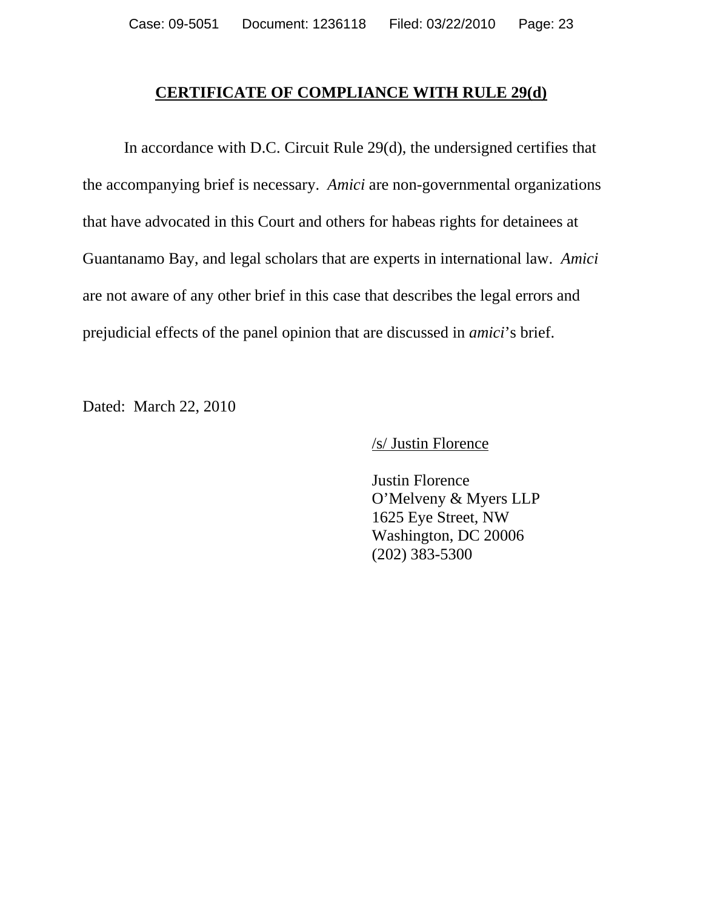#### **CERTIFICATE OF COMPLIANCE WITH RULE 29(d)**

 In accordance with D.C. Circuit Rule 29(d), the undersigned certifies that the accompanying brief is necessary. *Amici* are non-governmental organizations that have advocated in this Court and others for habeas rights for detainees at Guantanamo Bay, and legal scholars that are experts in international law. *Amici* are not aware of any other brief in this case that describes the legal errors and prejudicial effects of the panel opinion that are discussed in *amici*'s brief.

Dated: March 22, 2010

/s/ Justin Florence

 Justin Florence O'Melveny & Myers LLP 1625 Eye Street, NW Washington, DC 20006 (202) 383-5300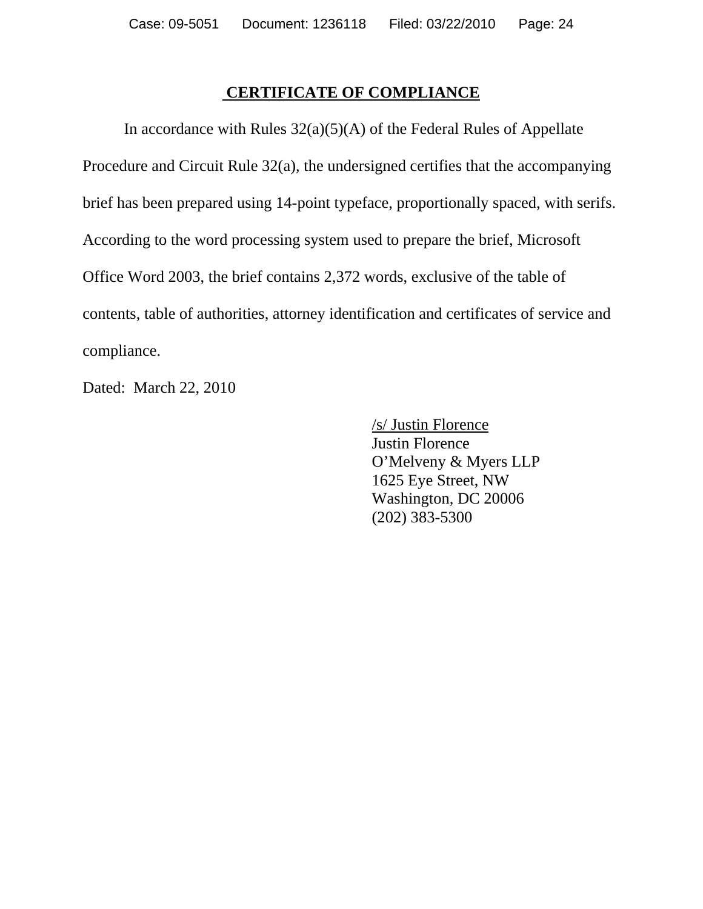## **CERTIFICATE OF COMPLIANCE**

In accordance with Rules  $32(a)(5)(A)$  of the Federal Rules of Appellate Procedure and Circuit Rule 32(a), the undersigned certifies that the accompanying brief has been prepared using 14-point typeface, proportionally spaced, with serifs. According to the word processing system used to prepare the brief, Microsoft Office Word 2003, the brief contains 2,372 words, exclusive of the table of contents, table of authorities, attorney identification and certificates of service and compliance.

Dated: March 22, 2010

 /s/ Justin Florence Justin Florence O'Melveny & Myers LLP 1625 Eye Street, NW Washington, DC 20006 (202) 383-5300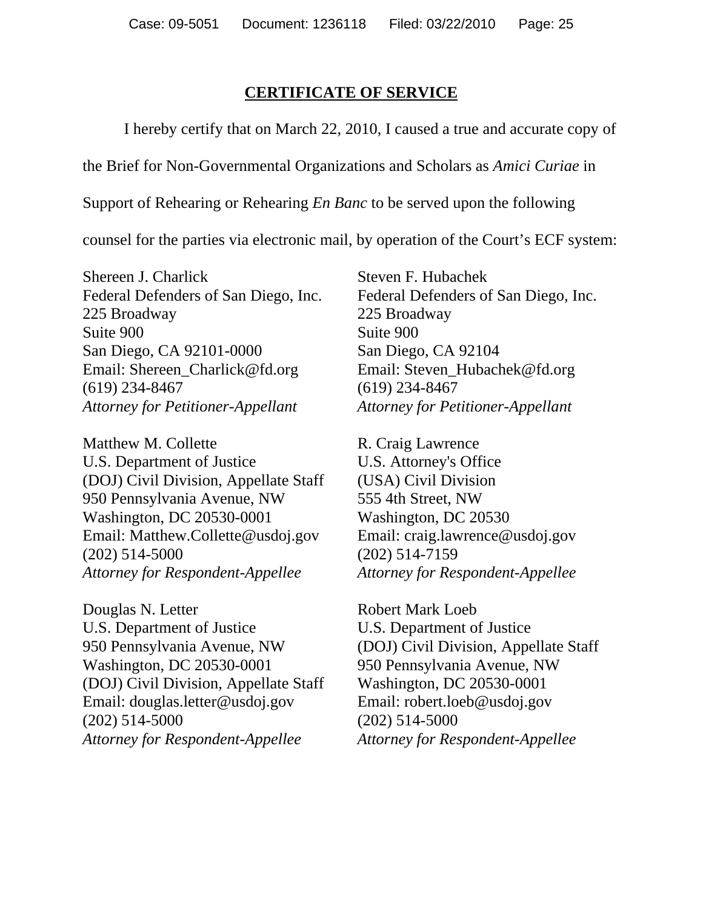## **CERTIFICATE OF SERVICE**

I hereby certify that on March 22, 2010, I caused a true and accurate copy of

the Brief for Non-Governmental Organizations and Scholars as *Amici Curiae* in

Support of Rehearing or Rehearing *En Banc* to be served upon the following

counsel for the parties via electronic mail, by operation of the Court's ECF system:

Shereen J. Charlick Federal Defenders of San Diego, Inc. 225 Broadway Suite 900 San Diego, CA 92101-0000 Email: Shereen\_Charlick@fd.org (619) 234-8467 *Attorney for Petitioner-Appellant* 

Matthew M. Collette U.S. Department of Justice (DOJ) Civil Division, Appellate Staff 950 Pennsylvania Avenue, NW Washington, DC 20530-0001 Email: Matthew.Collette@usdoj.gov (202) 514-5000 *Attorney for Respondent-Appellee* 

Douglas N. Letter U.S. Department of Justice 950 Pennsylvania Avenue, NW Washington, DC 20530-0001 (DOJ) Civil Division, Appellate Staff Email: douglas.letter@usdoj.gov (202) 514-5000 *Attorney for Respondent-Appellee*

Steven F. Hubachek Federal Defenders of San Diego, Inc. 225 Broadway Suite 900 San Diego, CA 92104 Email: Steven\_Hubachek@fd.org (619) 234-8467 *Attorney for Petitioner-Appellant* 

R. Craig Lawrence U.S. Attorney's Office (USA) Civil Division 555 4th Street, NW Washington, DC 20530 Email: craig.lawrence@usdoj.gov (202) 514-7159 *Attorney for Respondent-Appellee*

Robert Mark Loeb U.S. Department of Justice (DOJ) Civil Division, Appellate Staff 950 Pennsylvania Avenue, NW Washington, DC 20530-0001 Email: robert.loeb@usdoj.gov (202) 514-5000 *Attorney for Respondent-Appellee*